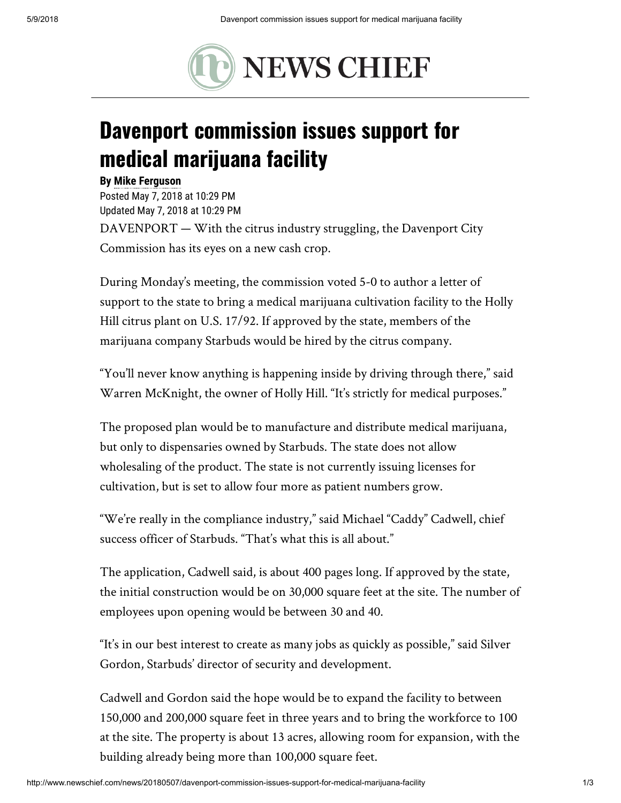

## Davenport commission issues support for medical marijuana facility

## By [Mike Ferguson](mailto:mike.ferguson@theledger.com)

Posted May 7, 2018 at 10:29 PM Updated May 7, 2018 at 10:29 PM DAVENPORT — With the citrus industry struggling, the Davenport City Commission has its eyes on a new cash crop.

During Monday's meeting, the commission voted 5-0 to author a letter of support to the state to bring a medical marijuana cultivation facility to the Holly Hill citrus plant on U.S. 17/92. If approved by the state, members of the marijuana company Starbuds would be hired by the citrus company.

"You'll never know anything is happening inside by driving through there," said Warren McKnight, the owner of Holly Hill. "It's strictly for medical purposes."

The proposed plan would be to manufacture and distribute medical marijuana, but only to dispensaries owned by Starbuds. The state does not allow wholesaling of the product. The state is not currently issuing licenses for cultivation, but is set to allow four more as patient numbers grow.

"We're really in the compliance industry," said Michael "Caddy" Cadwell, chief success officer of Starbuds. "That's what this is all about."

The application, Cadwell said, is about 400 pages long. If approved by the state, the initial construction would be on 30,000 square feet at the site. The number of employees upon opening would be between 30 and 40.

"It's in our best interest to create as many jobs as quickly as possible," said Silver Gordon, Starbuds' director of security and development.

Cadwell and Gordon said the hope would be to expand the facility to between 150,000 and 200,000 square feet in three years and to bring the workforce to 100 at the site. The property is about 13 acres, allowing room for expansion, with the building already being more than 100,000 square feet.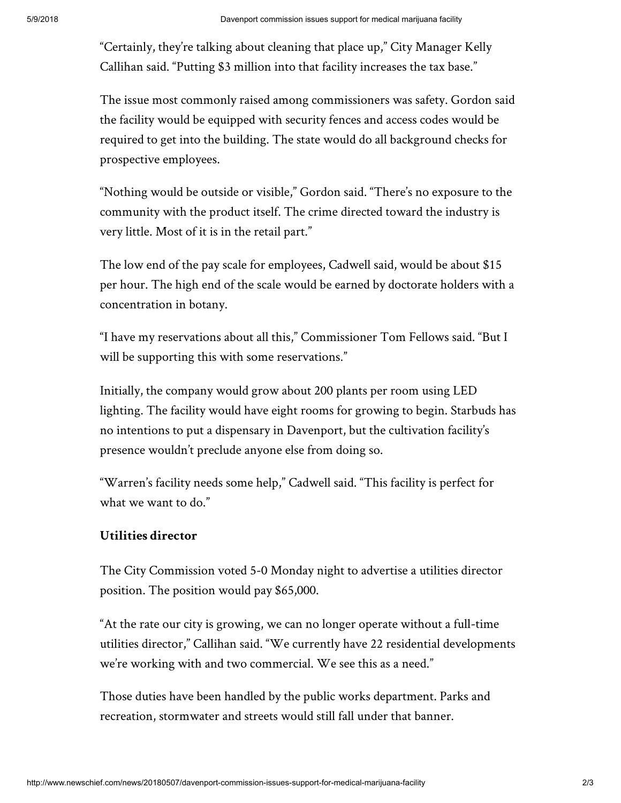"Certainly, they're talking about cleaning that place up," City Manager Kelly Callihan said. "Putting \$3 million into that facility increases the tax base."

The issue most commonly raised among commissioners was safety. Gordon said the facility would be equipped with security fences and access codes would be required to get into the building. The state would do all background checks for prospective employees.

"Nothing would be outside or visible," Gordon said. "There's no exposure to the community with the product itself. The crime directed toward the industry is very little. Most of it is in the retail part."

The low end of the pay scale for employees, Cadwell said, would be about \$15 per hour. The high end of the scale would be earned by doctorate holders with a concentration in botany.

"I have my reservations about all this," Commissioner Tom Fellows said. "But I will be supporting this with some reservations."

Initially, the company would grow about 200 plants per room using LED lighting. The facility would have eight rooms for growing to begin. Starbuds has no intentions to put a dispensary in Davenport, but the cultivation facility's presence wouldn't preclude anyone else from doing so.

"Warren's facility needs some help," Cadwell said. "This facility is perfect for what we want to do."

## Utilities director

The City Commission voted 5-0 Monday night to advertise a utilities director position. The position would pay \$65,000.

"At the rate our city is growing, we can no longer operate without a full-time utilities director," Callihan said. "We currently have 22 residential developments we're working with and two commercial. We see this as a need."

Those duties have been handled by the public works department. Parks and recreation, stormwater and streets would still fall under that banner.